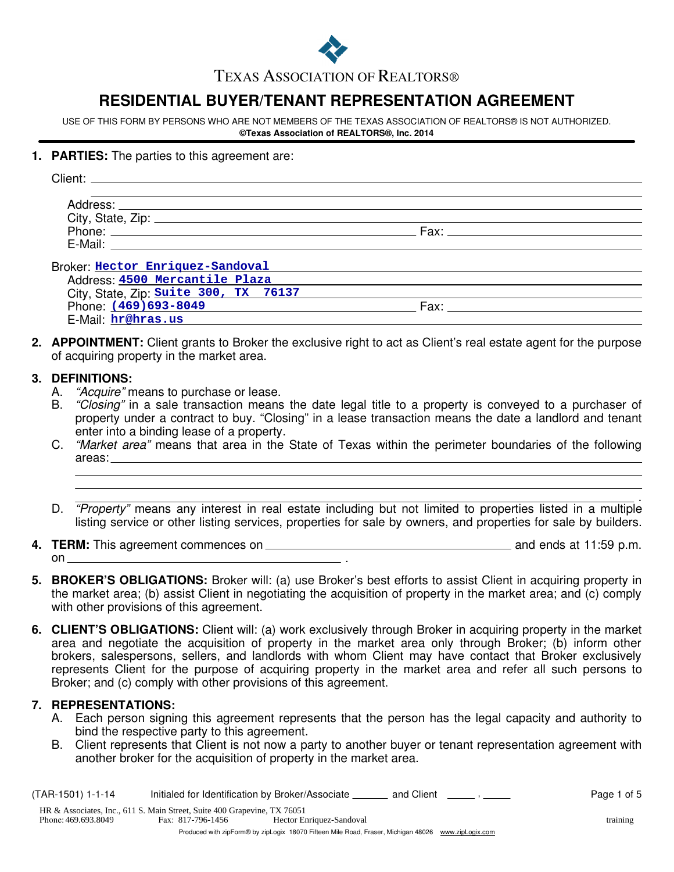

# TEXAS ASSOCIATION OF REALTORS®

# **RESIDENTIAL BUYER/TENANT REPRESENTATION AGREEMENT**

USE OF THIS FORM BY PERSONS WHO ARE NOT MEMBERS OF THE TEXAS ASSOCIATION OF REALTORS® IS NOT AUTHORIZED. **©Texas Association of REALTORS®, Inc. 2014**

#### **1. PARTIES:** The parties to this agreement are:

| Broker Hector Enriquez-Sandoval |  |
|---------------------------------|--|
| Address: 4500 Mercantile Plaza  |  |

| Audicas. <u>1999 not cancere</u> 1 had |      |
|----------------------------------------|------|
| City, State, Zip: Suite 300, TX 76137  |      |
| Phone: (469)693-8049                   | Fax: |
| E-Mail: hr@hras.us                     |      |

**2. APPOINTMENT:** Client grants to Broker the exclusive right to act as Client's real estate agent for the purpose of acquiring property in the market area.

### **3. DEFINITIONS:**

- A. *"Acquire"* means to purchase or lease.
- B. *"Closing"* in a sale transaction means the date legal title to a property is conveyed to a purchaser of property under a contract to buy. "Closing" in a lease transaction means the date a landlord and tenant enter into a binding lease of a property.
- C. *"Market area"* means that area in the State of Texas within the perimeter boundaries of the following areas:
- . D. *"Property"* means any interest in real estate including but not limited to properties listed in a multiple listing service or other listing services, properties for sale by owners, and properties for sale by builders.
- **4. TERM:** This agreement commences on **All Accords** And ends at 11:59 p.m. on .
- **5. BROKER'S OBLIGATIONS:** Broker will: (a) use Broker's best efforts to assist Client in acquiring property in the market area; (b) assist Client in negotiating the acquisition of property in the market area; and (c) comply with other provisions of this agreement.
- **6. CLIENT'S OBLIGATIONS:** Client will: (a) work exclusively through Broker in acquiring property in the market area and negotiate the acquisition of property in the market area only through Broker; (b) inform other brokers, salespersons, sellers, and landlords with whom Client may have contact that Broker exclusively represents Client for the purpose of acquiring property in the market area and refer all such persons to Broker; and (c) comply with other provisions of this agreement.

### **7. REPRESENTATIONS:**

- A. Each person signing this agreement represents that the person has the legal capacity and authority to bind the respective party to this agreement.
- B. Client represents that Client is not now a party to another buyer or tenant representation agreement with another broker for the acquisition of property in the market area.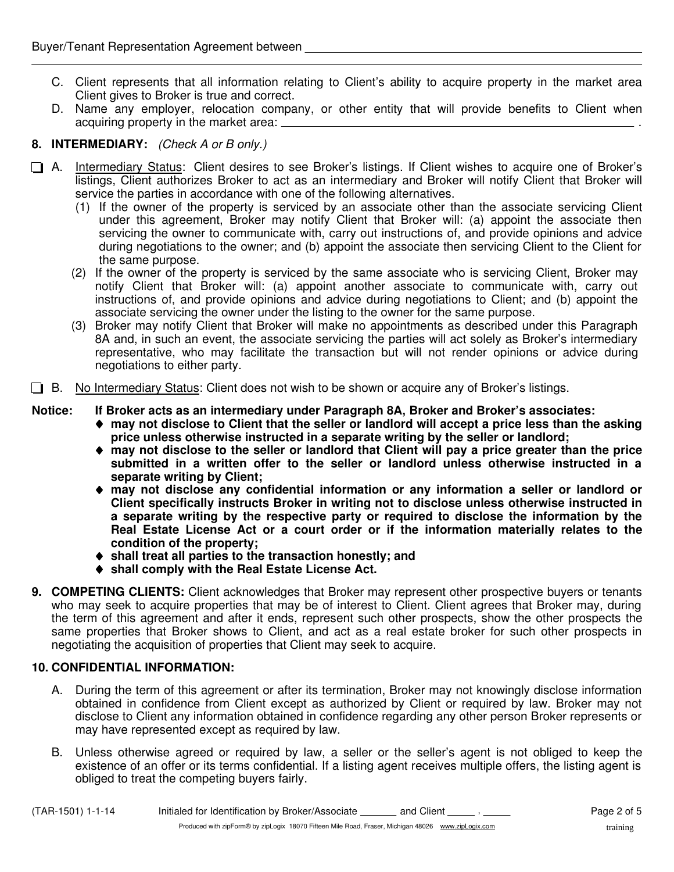- C. Client represents that all information relating to Client's ability to acquire property in the market area Client gives to Broker is true and correct.
- D. Name any employer, relocation company, or other entity that will provide benefits to Client when . acquiring property in the market area:

# **8. INTERMEDIARY:** *(Check A or B only.)*

- □ A. Intermediary Status: Client desires to see Broker's listings. If Client wishes to acquire one of Broker's listings, Client authorizes Broker to act as an intermediary and Broker will notify Client that Broker will service the parties in accordance with one of the following alternatives.
	- (1) If the owner of the property is serviced by an associate other than the associate servicing Client under this agreement, Broker may notify Client that Broker will: (a) appoint the associate then servicing the owner to communicate with, carry out instructions of, and provide opinions and advice during negotiations to the owner; and (b) appoint the associate then servicing Client to the Client for the same purpose.
	- (2) If the owner of the property is serviced by the same associate who is servicing Client, Broker may notify Client that Broker will: (a) appoint another associate to communicate with, carry out instructions of, and provide opinions and advice during negotiations to Client; and (b) appoint the associate servicing the owner under the listing to the owner for the same purpose.
	- (3) Broker may notify Client that Broker will make no appointments as described under this Paragraph 8A and, in such an event, the associate servicing the parties will act solely as Broker's intermediary representative, who may facilitate the transaction but will not render opinions or advice during negotiations to either party.
- $\Box$  B. No Intermediary Status: Client does not wish to be shown or acquire any of Broker's listings.
- **Notice: If Broker acts as an intermediary under Paragraph 8A, Broker and Broker's associates:**
	- **may not disclose to Client that the seller or landlord will accept a price less than the asking price unless otherwise instructed in a separate writing by the seller or landlord;**
	- **may not disclose to the seller or landlord that Client will pay a price greater than the price submitted in a written offer to the seller or landlord unless otherwise instructed in a separate writing by Client;**
	- **may not disclose any confidential information or any information a seller or landlord or Client specifically instructs Broker in writing not to disclose unless otherwise instructed in a separate writing by the respective party or required to disclose the information by the Real Estate License Act or a court order or if the information materially relates to the condition of the property;**
	- **shall treat all parties to the transaction honestly; and**
	- **shall comply with the Real Estate License Act.**
- **9. COMPETING CLIENTS:** Client acknowledges that Broker may represent other prospective buyers or tenants who may seek to acquire properties that may be of interest to Client. Client agrees that Broker may, during the term of this agreement and after it ends, represent such other prospects, show the other prospects the same properties that Broker shows to Client, and act as a real estate broker for such other prospects in negotiating the acquisition of properties that Client may seek to acquire.

## **10. CONFIDENTIAL INFORMATION:**

- A. During the term of this agreement or after its termination, Broker may not knowingly disclose information obtained in confidence from Client except as authorized by Client or required by law. Broker may not disclose to Client any information obtained in confidence regarding any other person Broker represents or may have represented except as required by law.
- B. Unless otherwise agreed or required by law, a seller or the seller's agent is not obliged to keep the existence of an offer or its terms confidential. If a listing agent receives multiple offers, the listing agent is obliged to treat the competing buyers fairly.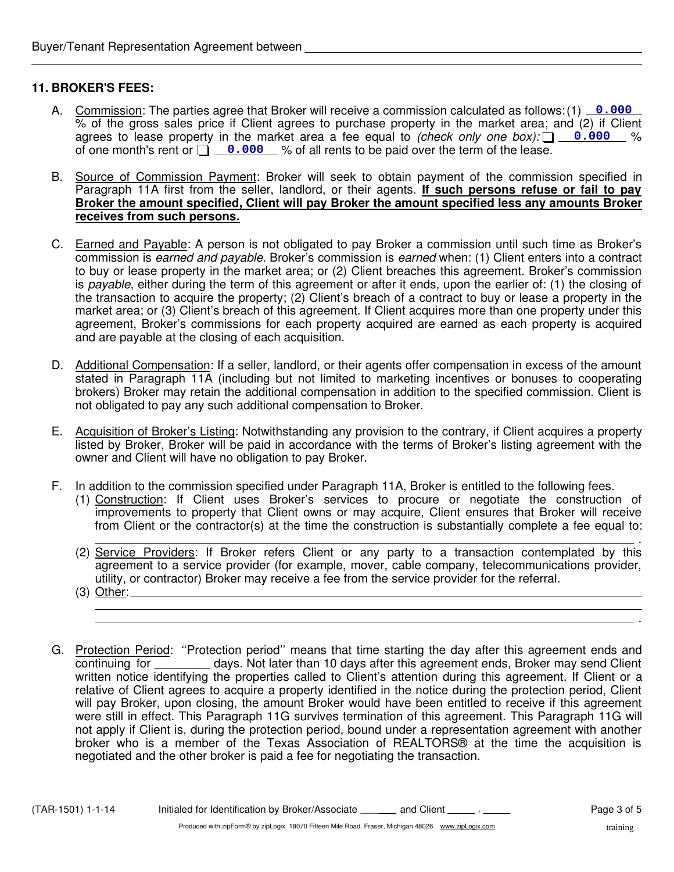# **11. BROKER'S FEES:**

- A. Commission: The parties agree that Broker will receive a commission calculated as follows: (1) **0.000** % of the gross sales price if Client agrees to purchase property in the market area; and (2) if Client agrees to lease property in the market area a fee equal to *(check only one box)*:  $\Box$  0.000 % of one month's rent or  $\boxed{\phantom{a}}$   $\phantom{a}$  **0.000** % of all rents to be paid over the term of the lease.
- B. Source of Commission Payment: Broker will seek to obtain payment of the commission specified in Paragraph 11A first from the seller, landlord, or their agents. **If such persons refuse or fail to pay Broker the amount specified, Client will pay Broker the amount specified less any amounts Broker receives from such persons.**
- C. Earned and Payable: A person is not obligated to pay Broker a commission until such time as Broker's commission is *earned and payable*. Broker's commission is *earned* when: (1) Client enters into a contract to buy or lease property in the market area; or (2) Client breaches this agreement. Broker's commission is *payable*, either during the term of this agreement or after it ends, upon the earlier of: (1) the closing of the transaction to acquire the property; (2) Client's breach of a contract to buy or lease a property in the market area; or (3) Client's breach of this agreement. If Client acquires more than one property under this agreement, Broker's commissions for each property acquired are earned as each property is acquired and are payable at the closing of each acquisition.
- D. Additional Compensation: If a seller, landlord, or their agents offer compensation in excess of the amount stated in Paragraph 11A (including but not limited to marketing incentives or bonuses to cooperating brokers) Broker may retain the additional compensation in addition to the specified commission. Client is not obligated to pay any such additional compensation to Broker.
- E. Acquisition of Broker's Listing: Notwithstanding any provision to the contrary, if Client acquires a property listed by Broker, Broker will be paid in accordance with the terms of Broker's listing agreement with the owner and Client will have no obligation to pay Broker.
- F. In addition to the commission specified under Paragraph 11A, Broker is entitled to the following fees.
	- (1) Construction: If Client uses Broker's services to procure or negotiate the construction of improvements to property that Client owns or may acquire, Client ensures that Broker will receive from Client or the contractor(s) at the time the construction is substantially complete a fee equal to:
	- (2) Service Providers: If Broker refers Client or any party to a transaction contemplated by this agreement to a service provider (for example, mover, cable company, telecommunications provider, utility, or contractor) Broker may receive a fee from the service provider for the referral. .
	- (3) Other:
- G. Protection Period: "Protection period" means that time starting the day after this agreement ends and continuing for \_\_\_\_\_\_\_\_\_ days. Not later than 10 days after this agreement ends, Broker may send Client written notice identifying the properties called to Client's attention during this agreement. If Client or a relative of Client agrees to acquire a property identified in the notice during the protection period, Client will pay Broker, upon closing, the amount Broker would have been entitled to receive if this agreement were still in effect. This Paragraph 11G survives termination of this agreement. This Paragraph 11G will not apply if Client is, during the protection period, bound under a representation agreement with another broker who is a member of the Texas Association of REALTORS® at the time the acquisition is negotiated and the other broker is paid a fee for negotiating the transaction.

.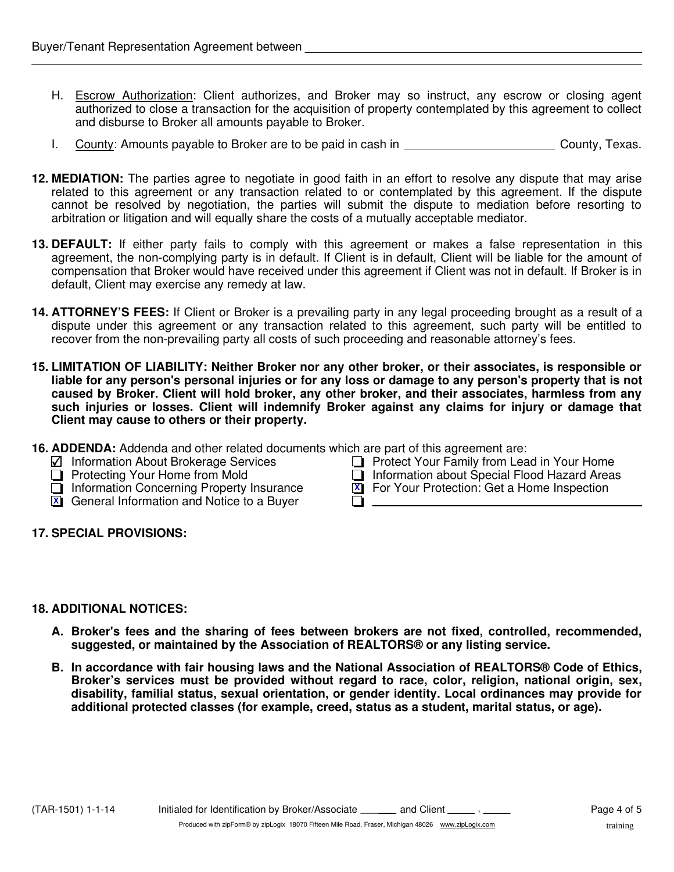- H. **Escrow Authorization:** Client authorizes, and Broker may so instruct, any escrow or closing agent authorized to close a transaction for the acquisition of property contemplated by this agreement to collect and disburse to Broker all amounts payable to Broker.
- I. County: Amounts payable to Broker are to be paid in cash in <u>County County, Texas</u>.
- **12. MEDIATION:** The parties agree to negotiate in good faith in an effort to resolve any dispute that may arise related to this agreement or any transaction related to or contemplated by this agreement. If the dispute cannot be resolved by negotiation, the parties will submit the dispute to mediation before resorting to arbitration or litigation and will equally share the costs of a mutually acceptable mediator.
- **13. DEFAULT:** If either party fails to comply with this agreement or makes a false representation in this agreement, the non-complying party is in default. If Client is in default, Client will be liable for the amount of compensation that Broker would have received under this agreement if Client was not in default. If Broker is in default, Client may exercise any remedy at law.
- **14. ATTORNEY'S FEES:** If Client or Broker is a prevailing party in any legal proceeding brought as a result of a dispute under this agreement or any transaction related to this agreement, such party will be entitled to recover from the non-prevailing party all costs of such proceeding and reasonable attorney's fees.
- **15. LIMITATION OF LIABILITY: Neither Broker nor any other broker, or their associates, is responsible or liable for any person's personal injuries or for any loss or damage to any person's property that is not caused by Broker. Client will hold broker, any other broker, and their associates, harmless from any such injuries or losses. Client will indemnify Broker against any claims for injury or damage that Client may cause to others or their property.**
- **16. ADDENDA:** Addenda and other related documents which are part of this agreement are:<br>
M Information About Brokerage Services
	-
	- **Protecting Your Home from Mold**
	- **Information Concerning Property Insurance**
	- General Information and Notice to a Buyer **X**



## **17. SPECIAL PROVISIONS:**

### **18. ADDITIONAL NOTICES:**

- **A. Broker's fees and the sharing of fees between brokers are not fixed, controlled, recommended, suggested, or maintained by the Association of REALTORS® or any listing service.**
- **B. In accordance with fair housing laws and the National Association of REALTORS® Code of Ethics, Broker's services must be provided without regard to race, color, religion, national origin, sex, disability, familial status, sexual orientation, or gender identity. Local ordinances may provide for additional protected classes (for example, creed, status as a student, marital status, or age).**